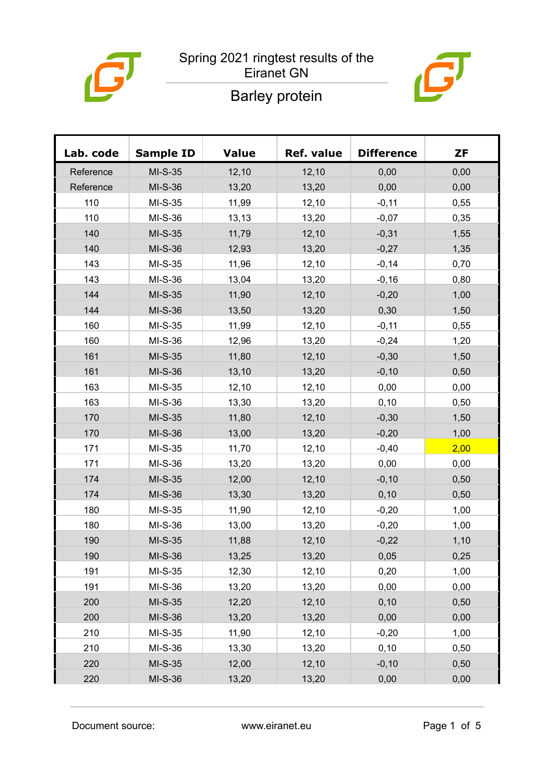

### Spring 2021 ringtest results of the Eiranet GN



# Barley protein

| Lab. code | <b>Sample ID</b> | <b>Value</b> | Ref. value | <b>Difference</b> | <b>ZF</b> |
|-----------|------------------|--------------|------------|-------------------|-----------|
| Reference | $MI-S-35$        | 12,10        | 12,10      | 0,00              | 0,00      |
| Reference | MI-S-36          | 13,20        | 13,20      | 0,00              | 0,00      |
| 110       | $MI-S-35$        | 11,99        | 12,10      | $-0,11$           | 0,55      |
| 110       | MI-S-36          | 13,13        | 13,20      | $-0,07$           | 0,35      |
| 140       | $MI-S-35$        | 11,79        | 12,10      | $-0,31$           | 1,55      |
| 140       | MI-S-36          | 12,93        | 13,20      | $-0,27$           | 1,35      |
| 143       | $MI-S-35$        | 11,96        | 12,10      | $-0,14$           | 0,70      |
| 143       | MI-S-36          | 13,04        | 13,20      | $-0,16$           | 0,80      |
| 144       | $MI-S-35$        | 11,90        | 12,10      | $-0,20$           | 1,00      |
| 144       | $MI-S-36$        | 13,50        | 13,20      | 0,30              | 1,50      |
| 160       | $MI-S-35$        | 11,99        | 12,10      | $-0,11$           | 0,55      |
| 160       | MI-S-36          | 12,96        | 13,20      | $-0,24$           | 1,20      |
| 161       | MI-S-35          | 11,80        | 12,10      | $-0,30$           | 1,50      |
| 161       | MI-S-36          | 13,10        | 13,20      | $-0,10$           | 0,50      |
| 163       | $MI-S-35$        | 12,10        | 12,10      | 0,00              | 0,00      |
| 163       | MI-S-36          | 13,30        | 13,20      | 0, 10             | 0,50      |
| 170       | $MI-S-35$        | 11,80        | 12,10      | $-0,30$           | 1,50      |
| 170       | $MI-S-36$        | 13,00        | 13,20      | $-0,20$           | 1,00      |
| 171       | $MI-S-35$        | 11,70        | 12,10      | $-0,40$           | 2,00      |
| 171       | $MI-S-36$        | 13,20        | 13,20      | 0,00              | 0,00      |
| 174       | $MI-S-35$        | 12,00        | 12,10      | $-0,10$           | 0,50      |
| 174       | MI-S-36          | 13,30        | 13,20      | 0,10              | 0,50      |
| 180       | $MI-S-35$        | 11,90        | 12,10      | $-0,20$           | 1,00      |
| 180       | $MI-S-36$        | 13,00        | 13,20      | $-0,20$           | 1,00      |
| 190       | MI-S-35          | 11,88        | 12,10      | $-0,22$           | 1,10      |
| 190       | MI-S-36          | 13,25        | 13,20      | 0,05              | 0,25      |
| 191       | MI-S-35          | 12,30        | 12,10      | 0,20              | 1,00      |
| 191       | MI-S-36          | 13,20        | 13,20      | 0,00              | 0,00      |
| 200       | MI-S-35          | 12,20        | 12,10      | 0,10              | 0,50      |
| 200       | MI-S-36          | 13,20        | 13,20      | 0,00              | 0,00      |
| 210       | MI-S-35          | 11,90        | 12,10      | $-0,20$           | 1,00      |
| 210       | MI-S-36          | 13,30        | 13,20      | 0, 10             | 0,50      |
| 220       | $MI-S-35$        | 12,00        | 12,10      | $-0,10$           | 0,50      |
| 220       | MI-S-36          | 13,20        | 13,20      | 0,00              | 0,00      |

Document source: www.eiranet.eu Page 1 of 5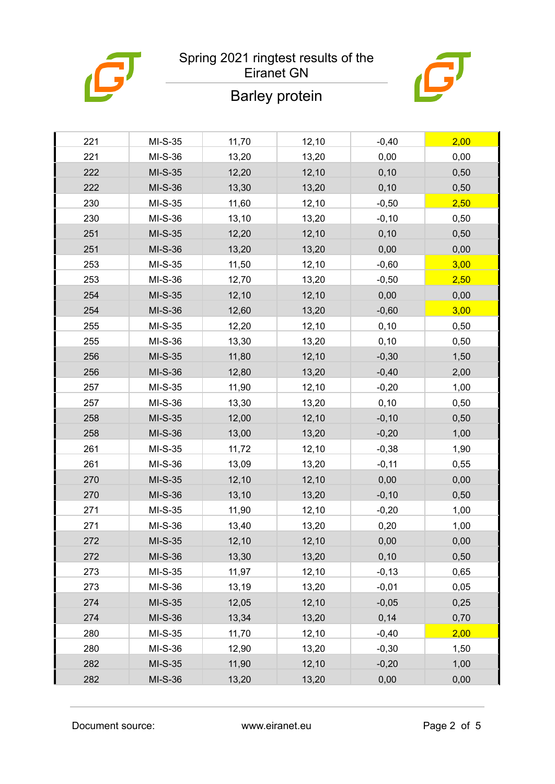

## Spring 2021 ringtest results of the Eiranet GN

# Barley protein

| 221 | $MI-S-35$ | 11,70 | 12,10 | $-0,40$  | 2,00 |
|-----|-----------|-------|-------|----------|------|
| 221 | MI-S-36   | 13,20 | 13,20 | 0,00     | 0,00 |
| 222 | $MI-S-35$ | 12,20 | 12,10 | 0,10     | 0,50 |
| 222 | MI-S-36   | 13,30 | 13,20 | 0, 10    | 0,50 |
| 230 | $MI-S-35$ | 11,60 | 12,10 | $-0,50$  | 2,50 |
| 230 | MI-S-36   | 13,10 | 13,20 | $-0,10$  | 0,50 |
| 251 | MI-S-35   | 12,20 | 12,10 | 0,10     | 0,50 |
| 251 | MI-S-36   | 13,20 | 13,20 | 0,00     | 0,00 |
| 253 | MI-S-35   | 11,50 | 12,10 | $-0,60$  | 3,00 |
| 253 | MI-S-36   | 12,70 | 13,20 | $-0,50$  | 2,50 |
| 254 | $MI-S-35$ | 12,10 | 12,10 | 0,00     | 0,00 |
| 254 | MI-S-36   | 12,60 | 13,20 | $-0,60$  | 3,00 |
| 255 | $MI-S-35$ | 12,20 | 12,10 | 0, 10    | 0,50 |
| 255 | MI-S-36   | 13,30 | 13,20 | 0, 10    | 0,50 |
| 256 | MI-S-35   | 11,80 | 12,10 | $-0,30$  | 1,50 |
| 256 | MI-S-36   | 12,80 | 13,20 | $-0,40$  | 2,00 |
| 257 | $MI-S-35$ | 11,90 | 12,10 | $-0,20$  | 1,00 |
| 257 | MI-S-36   | 13,30 | 13,20 | 0, 10    | 0,50 |
| 258 | $MI-S-35$ | 12,00 | 12,10 | $-0, 10$ | 0,50 |
| 258 | MI-S-36   | 13,00 | 13,20 | $-0,20$  | 1,00 |
| 261 | $MI-S-35$ | 11,72 | 12,10 | $-0,38$  | 1,90 |
| 261 | MI-S-36   | 13,09 | 13,20 | $-0,11$  | 0,55 |
| 270 | $MI-S-35$ | 12,10 | 12,10 | 0,00     | 0,00 |
| 270 | MI-S-36   | 13,10 | 13,20 | $-0,10$  | 0,50 |
| 271 | $MI-S-35$ | 11,90 | 12,10 | $-0,20$  | 1,00 |
| 271 | MI-S-36   | 13,40 | 13,20 | 0,20     | 1,00 |
| 272 | MI-S-35   | 12,10 | 12,10 | 0,00     | 0,00 |
| 272 | MI-S-36   | 13,30 | 13,20 | 0, 10    | 0,50 |
| 273 | $MI-S-35$ | 11,97 | 12,10 | $-0, 13$ | 0,65 |
| 273 | MI-S-36   | 13,19 | 13,20 | $-0,01$  | 0,05 |
| 274 | MI-S-35   | 12,05 | 12,10 | $-0,05$  | 0,25 |
| 274 | MI-S-36   | 13,34 | 13,20 | 0,14     | 0,70 |
| 280 | $MI-S-35$ | 11,70 | 12,10 | $-0,40$  | 2,00 |
| 280 | MI-S-36   | 12,90 | 13,20 | $-0,30$  | 1,50 |
| 282 | $MI-S-35$ | 11,90 | 12,10 | $-0,20$  | 1,00 |
| 282 | MI-S-36   | 13,20 | 13,20 | 0,00     | 0,00 |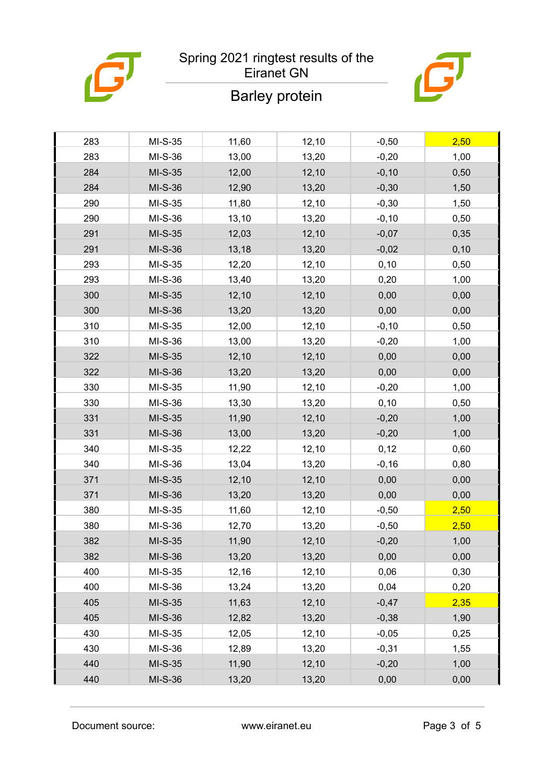

# Spring 2021 ringtest results of the



## Eiranet GN

# Barley protein

| 283 | MI-S-35   | 11,60 | 12,10 | $-0,50$ | 2,50 |
|-----|-----------|-------|-------|---------|------|
| 283 | MI-S-36   | 13,00 | 13,20 | $-0,20$ | 1,00 |
| 284 | MI-S-35   | 12,00 | 12,10 | $-0,10$ | 0,50 |
| 284 | MI-S-36   | 12,90 | 13,20 | $-0,30$ | 1,50 |
| 290 | $MI-S-35$ | 11,80 | 12,10 | $-0,30$ | 1,50 |
| 290 | MI-S-36   | 13,10 | 13,20 | $-0,10$ | 0,50 |
| 291 | MI-S-35   | 12,03 | 12,10 | $-0,07$ | 0,35 |
| 291 | MI-S-36   | 13,18 | 13,20 | $-0,02$ | 0,10 |
| 293 | $MI-S-35$ | 12,20 | 12,10 | 0, 10   | 0,50 |
| 293 | MI-S-36   | 13,40 | 13,20 | 0,20    | 1,00 |
| 300 | MI-S-35   | 12,10 | 12,10 | 0,00    | 0,00 |
| 300 | MI-S-36   | 13,20 | 13,20 | 0,00    | 0,00 |
| 310 | $MI-S-35$ | 12,00 | 12,10 | $-0,10$ | 0,50 |
| 310 | MI-S-36   | 13,00 | 13,20 | $-0,20$ | 1,00 |
| 322 | MI-S-35   | 12,10 | 12,10 | 0,00    | 0,00 |
| 322 | MI-S-36   | 13,20 | 13,20 | 0,00    | 0,00 |
| 330 | $MI-S-35$ | 11,90 | 12,10 | $-0,20$ | 1,00 |
| 330 | MI-S-36   | 13,30 | 13,20 | 0,10    | 0,50 |
| 331 | MI-S-35   | 11,90 | 12,10 | $-0,20$ | 1,00 |
| 331 | MI-S-36   | 13,00 | 13,20 | $-0,20$ | 1,00 |
| 340 | $MI-S-35$ | 12,22 | 12,10 | 0,12    | 0,60 |
| 340 | MI-S-36   | 13,04 | 13,20 | $-0,16$ | 0,80 |
| 371 | MI-S-35   | 12,10 | 12,10 | 0,00    | 0,00 |
| 371 | MI-S-36   | 13,20 | 13,20 | 0,00    | 0,00 |
| 380 | $MI-S-35$ | 11,60 | 12,10 | $-0,50$ | 2,50 |
| 380 | MI-S-36   | 12,70 | 13,20 | $-0,50$ | 2,50 |
| 382 | MI-S-35   | 11,90 | 12,10 | $-0,20$ | 1,00 |
| 382 | MI-S-36   | 13,20 | 13,20 | 0,00    | 0,00 |
| 400 | $MI-S-35$ | 12,16 | 12,10 | 0,06    | 0,30 |
| 400 | MI-S-36   | 13,24 | 13,20 | 0,04    | 0,20 |
| 405 | $MI-S-35$ | 11,63 | 12,10 | $-0,47$ | 2,35 |
| 405 | MI-S-36   | 12,82 | 13,20 | $-0,38$ | 1,90 |
| 430 | $MI-S-35$ | 12,05 | 12,10 | $-0,05$ | 0,25 |
| 430 | MI-S-36   | 12,89 | 13,20 | $-0,31$ | 1,55 |
| 440 | $MI-S-35$ | 11,90 | 12,10 | $-0,20$ | 1,00 |
| 440 | MI-S-36   | 13,20 | 13,20 | 0,00    | 0,00 |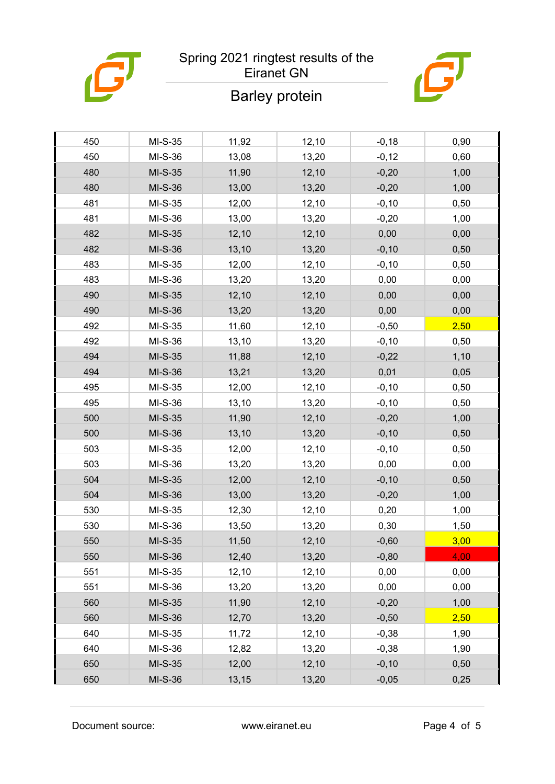

## Spring 2021 ringtest results of the Eiranet GN

# ð

# Barley protein

| 450 | $MI-S-35$ | 11,92 | 12,10 | $-0,18$  | 0,90 |
|-----|-----------|-------|-------|----------|------|
| 450 | MI-S-36   | 13,08 | 13,20 | $-0,12$  | 0,60 |
| 480 | $MI-S-35$ | 11,90 | 12,10 | $-0,20$  | 1,00 |
| 480 | MI-S-36   | 13,00 | 13,20 | $-0,20$  | 1,00 |
| 481 | $MI-S-35$ | 12,00 | 12,10 | $-0, 10$ | 0,50 |
| 481 | MI-S-36   | 13,00 | 13,20 | $-0,20$  | 1,00 |
| 482 | MI-S-35   | 12,10 | 12,10 | 0,00     | 0,00 |
| 482 | MI-S-36   | 13,10 | 13,20 | $-0,10$  | 0,50 |
| 483 | $MI-S-35$ | 12,00 | 12,10 | $-0, 10$ | 0,50 |
| 483 | MI-S-36   | 13,20 | 13,20 | 0,00     | 0,00 |
| 490 | $MI-S-35$ | 12,10 | 12,10 | 0,00     | 0,00 |
| 490 | MI-S-36   | 13,20 | 13,20 | 0,00     | 0,00 |
| 492 | $MI-S-35$ | 11,60 | 12,10 | $-0,50$  | 2,50 |
| 492 | MI-S-36   | 13,10 | 13,20 | $-0, 10$ | 0,50 |
| 494 | MI-S-35   | 11,88 | 12,10 | $-0,22$  | 1,10 |
| 494 | MI-S-36   | 13,21 | 13,20 | 0,01     | 0,05 |
| 495 | $MI-S-35$ | 12,00 | 12,10 | $-0,10$  | 0,50 |
| 495 | MI-S-36   | 13,10 | 13,20 | $-0,10$  | 0,50 |
| 500 | MI-S-35   | 11,90 | 12,10 | $-0,20$  | 1,00 |
| 500 | MI-S-36   | 13,10 | 13,20 | $-0,10$  | 0,50 |
| 503 | $MI-S-35$ | 12,00 | 12,10 | $-0,10$  | 0,50 |
| 503 | MI-S-36   | 13,20 | 13,20 | 0,00     | 0,00 |
| 504 | $MI-S-35$ | 12,00 | 12,10 | $-0,10$  | 0,50 |
| 504 | MI-S-36   | 13,00 | 13,20 | $-0,20$  | 1,00 |
| 530 | $MI-S-35$ | 12,30 | 12,10 | 0,20     | 1,00 |
| 530 | MI-S-36   | 13,50 | 13,20 | 0,30     | 1,50 |
| 550 | MI-S-35   | 11,50 | 12,10 | $-0,60$  | 3,00 |
| 550 | MI-S-36   | 12,40 | 13,20 | $-0,80$  | 4,00 |
| 551 | $MI-S-35$ | 12,10 | 12,10 | 0,00     | 0,00 |
| 551 | MI-S-36   | 13,20 | 13,20 | 0,00     | 0,00 |
| 560 | $MI-S-35$ | 11,90 | 12,10 | $-0,20$  | 1,00 |
| 560 | MI-S-36   | 12,70 | 13,20 | $-0,50$  | 2,50 |
| 640 | $MI-S-35$ | 11,72 | 12,10 | $-0,38$  | 1,90 |
| 640 | MI-S-36   | 12,82 | 13,20 | $-0,38$  | 1,90 |
| 650 | MI-S-35   | 12,00 | 12,10 | $-0,10$  | 0,50 |
| 650 | MI-S-36   | 13,15 | 13,20 | $-0,05$  | 0,25 |

Document source: www.eiranet.eu Page 4 of 5